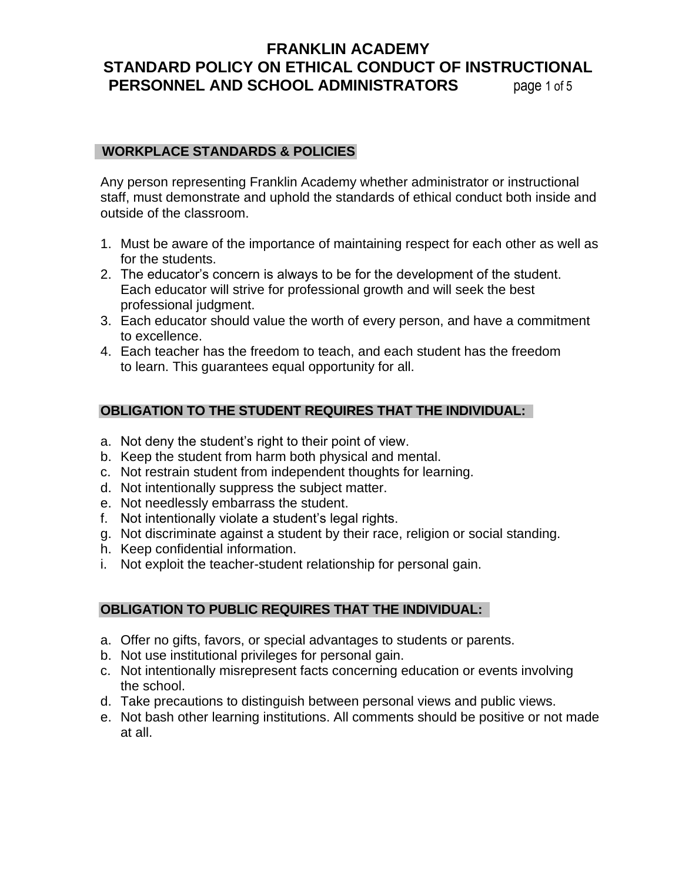# **FRANKLIN ACADEMY STANDARD POLICY ON ETHICAL CONDUCT OF INSTRUCTIONAL PERSONNEL AND SCHOOL ADMINISTRATORS** page 1 of 5

## **WORKPLACE STANDARDS & POLICIES**

Any person representing Franklin Academy whether administrator or instructional staff, must demonstrate and uphold the standards of ethical conduct both inside and outside of the classroom.

- 1. Must be aware of the importance of maintaining respect for each other as well as for the students.
- 2. The educator's concern is always to be for the development of the student. Each educator will strive for professional growth and will seek the best professional judgment.
- 3. Each educator should value the worth of every person, and have a commitment to excellence.
- 4. Each teacher has the freedom to teach, and each student has the freedom to learn. This guarantees equal opportunity for all.

# **OBLIGATION TO THE STUDENT REQUIRES THAT THE INDIVIDUAL:**

- a. Not deny the student's right to their point of view.
- b. Keep the student from harm both physical and mental.
- c. Not restrain student from independent thoughts for learning.
- d. Not intentionally suppress the subject matter.
- e. Not needlessly embarrass the student.
- f. Not intentionally violate a student's legal rights.
- g. Not discriminate against a student by their race, religion or social standing.
- h. Keep confidential information.
- i. Not exploit the teacher-student relationship for personal gain.

## **OBLIGATION TO PUBLIC REQUIRES THAT THE INDIVIDUAL:**

- a. Offer no gifts, favors, or special advantages to students or parents.
- b. Not use institutional privileges for personal gain.
- c. Not intentionally misrepresent facts concerning education or events involving the school.
- d. Take precautions to distinguish between personal views and public views.
- e. Not bash other learning institutions. All comments should be positive or not made at all.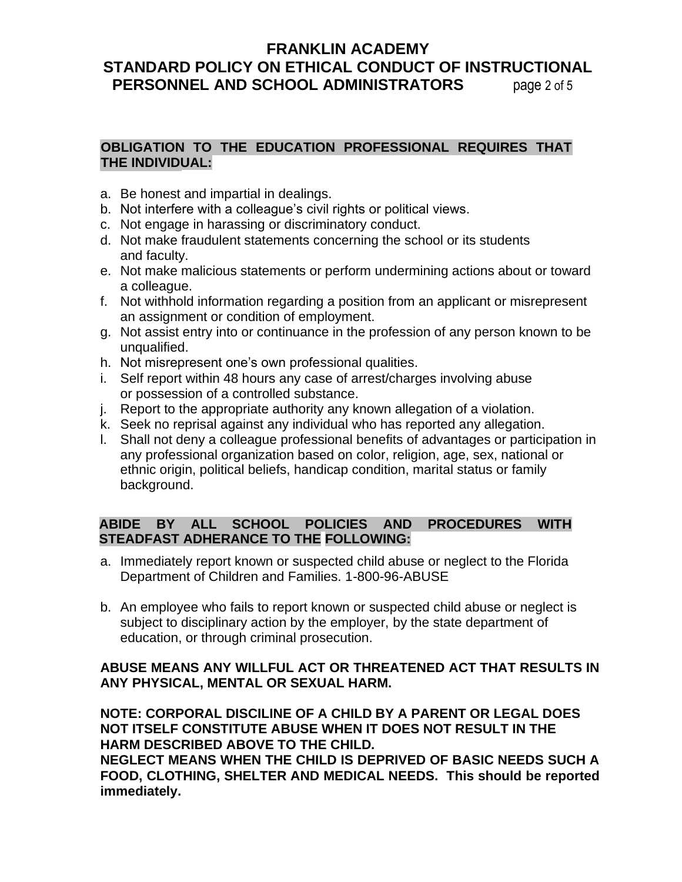# **FRANKLIN ACADEMY STANDARD POLICY ON ETHICAL CONDUCT OF INSTRUCTIONAL PERSONNEL AND SCHOOL ADMINISTRATORS** page 2 of 5

## **OBLIGATION TO THE EDUCATION PROFESSIONAL REQUIRES THAT THE INDIVIDUAL:**

- a. Be honest and impartial in dealings.
- b. Not interfere with a colleague's civil rights or political views.
- c. Not engage in harassing or discriminatory conduct.
- d. Not make fraudulent statements concerning the school or its students and faculty.
- e. Not make malicious statements or perform undermining actions about or toward a colleague.
- f. Not withhold information regarding a position from an applicant or misrepresent an assignment or condition of employment.
- g. Not assist entry into or continuance in the profession of any person known to be unqualified.
- h. Not misrepresent one's own professional qualities.
- i. Self report within 48 hours any case of arrest/charges involving abuse or possession of a controlled substance.
- j. Report to the appropriate authority any known allegation of a violation.
- k. Seek no reprisal against any individual who has reported any allegation.
- l. Shall not deny a colleague professional benefits of advantages or participation in any professional organization based on color, religion, age, sex, national or ethnic origin, political beliefs, handicap condition, marital status or family background.

## **ABIDE BY ALL SCHOOL POLICIES AND PROCEDURES WITH STEADFAST ADHERANCE TO THE FOLLOWING:**

- a. Immediately report known or suspected child abuse or neglect to the Florida Department of Children and Families. 1-800-96-ABUSE
- b. An employee who fails to report known or suspected child abuse or neglect is subject to disciplinary action by the employer, by the state department of education, or through criminal prosecution.

# **ABUSE MEANS ANY WILLFUL ACT OR THREATENED ACT THAT RESULTS IN ANY PHYSICAL, MENTAL OR SEXUAL HARM.**

**NOTE: CORPORAL DISCILINE OF A CHILD BY A PARENT OR LEGAL DOES NOT ITSELF CONSTITUTE ABUSE WHEN IT DOES NOT RESULT IN THE HARM DESCRIBED ABOVE TO THE CHILD.**

**NEGLECT MEANS WHEN THE CHILD IS DEPRIVED OF BASIC NEEDS SUCH A FOOD, CLOTHING, SHELTER AND MEDICAL NEEDS. This should be reported immediately.**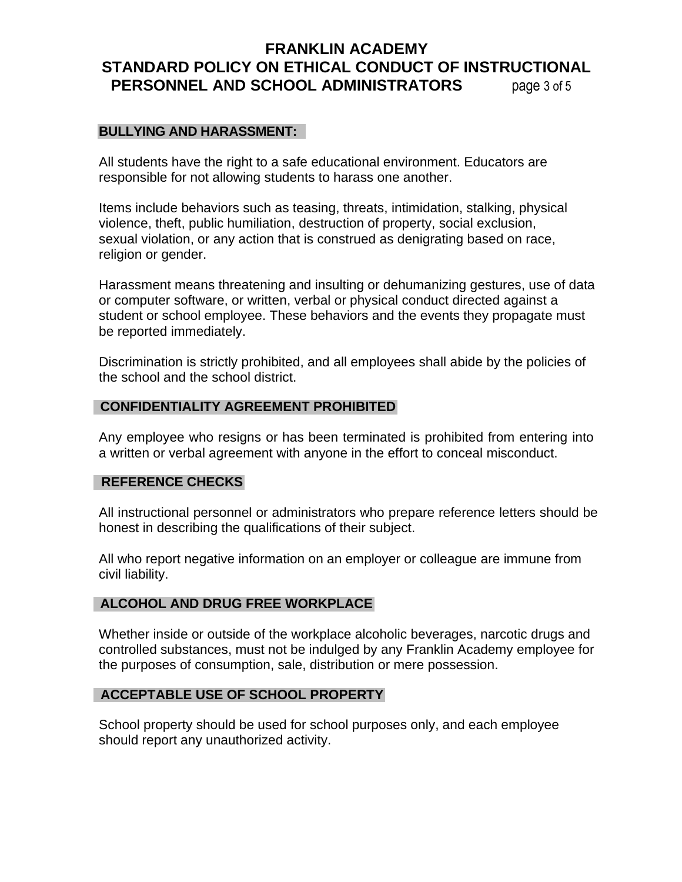# **FRANKLIN ACADEMY STANDARD POLICY ON ETHICAL CONDUCT OF INSTRUCTIONAL PERSONNEL AND SCHOOL ADMINISTRATORS** page 3 of 5

## **BULLYING AND HARASSMENT:**

All students have the right to a safe educational environment. Educators are responsible for not allowing students to harass one another.

Items include behaviors such as teasing, threats, intimidation, stalking, physical violence, theft, public humiliation, destruction of property, social exclusion, sexual violation, or any action that is construed as denigrating based on race, religion or gender.

Harassment means threatening and insulting or dehumanizing gestures, use of data or computer software, or written, verbal or physical conduct directed against a student or school employee. These behaviors and the events they propagate must be reported immediately.

Discrimination is strictly prohibited, and all employees shall abide by the policies of the school and the school district.

## **CONFIDENTIALITY AGREEMENT PROHIBITED**

Any employee who resigns or has been terminated is prohibited from entering into a written or verbal agreement with anyone in the effort to conceal misconduct.

#### **REFERENCE CHECKS**

All instructional personnel or administrators who prepare reference letters should be honest in describing the qualifications of their subject.

All who report negative information on an employer or colleague are immune from civil liability.

## **ALCOHOL AND DRUG FREE WORKPLACE**

Whether inside or outside of the workplace alcoholic beverages, narcotic drugs and controlled substances, must not be indulged by any Franklin Academy employee for the purposes of consumption, sale, distribution or mere possession.

## **ACCEPTABLE USE OF SCHOOL PROPERTY**

School property should be used for school purposes only, and each employee should report any unauthorized activity.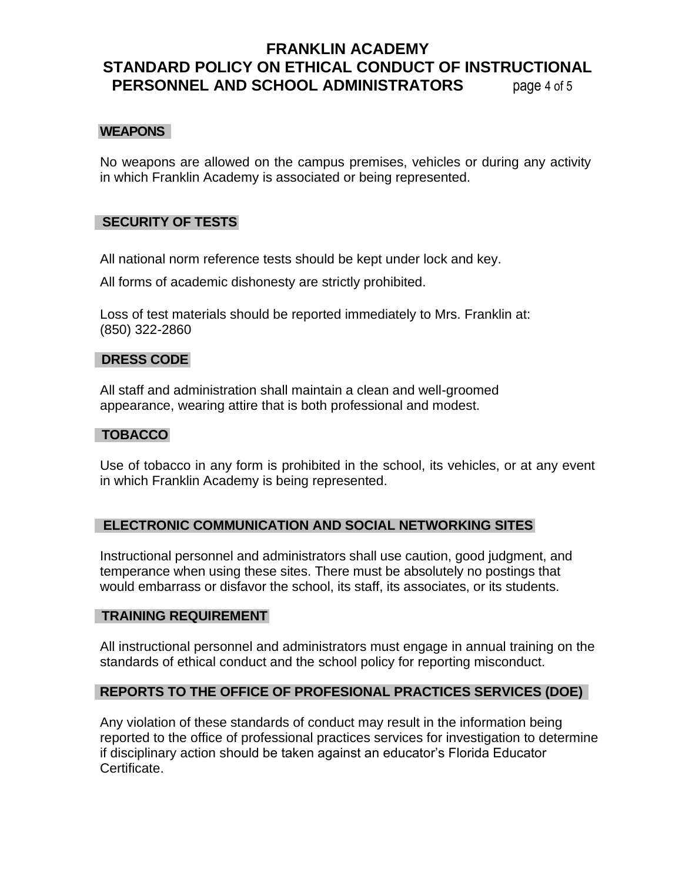# **FRANKLIN ACADEMY STANDARD POLICY ON ETHICAL CONDUCT OF INSTRUCTIONAL PERSONNEL AND SCHOOL ADMINISTRATORS** page 4 of 5

## **WEAPONS**

No weapons are allowed on the campus premises, vehicles or during any activity in which Franklin Academy is associated or being represented.

## **SECURITY OF TESTS**

All national norm reference tests should be kept under lock and key.

All forms of academic dishonesty are strictly prohibited.

Loss of test materials should be reported immediately to Mrs. Franklin at: (850) 322-2860

#### **DRESS CODE**

All staff and administration shall maintain a clean and well-groomed appearance, wearing attire that is both professional and modest.

## **TOBACCO**

Use of tobacco in any form is prohibited in the school, its vehicles, or at any event in which Franklin Academy is being represented.

## **ELECTRONIC COMMUNICATION AND SOCIAL NETWORKING SITES**

Instructional personnel and administrators shall use caution, good judgment, and temperance when using these sites. There must be absolutely no postings that would embarrass or disfavor the school, its staff, its associates, or its students.

## **TRAINING REQUIREMENT**

All instructional personnel and administrators must engage in annual training on the standards of ethical conduct and the school policy for reporting misconduct.

## **REPORTS TO THE OFFICE OF PROFESIONAL PRACTICES SERVICES (DOE)**

Any violation of these standards of conduct may result in the information being reported to the office of professional practices services for investigation to determine if disciplinary action should be taken against an educator's Florida Educator Certificate.